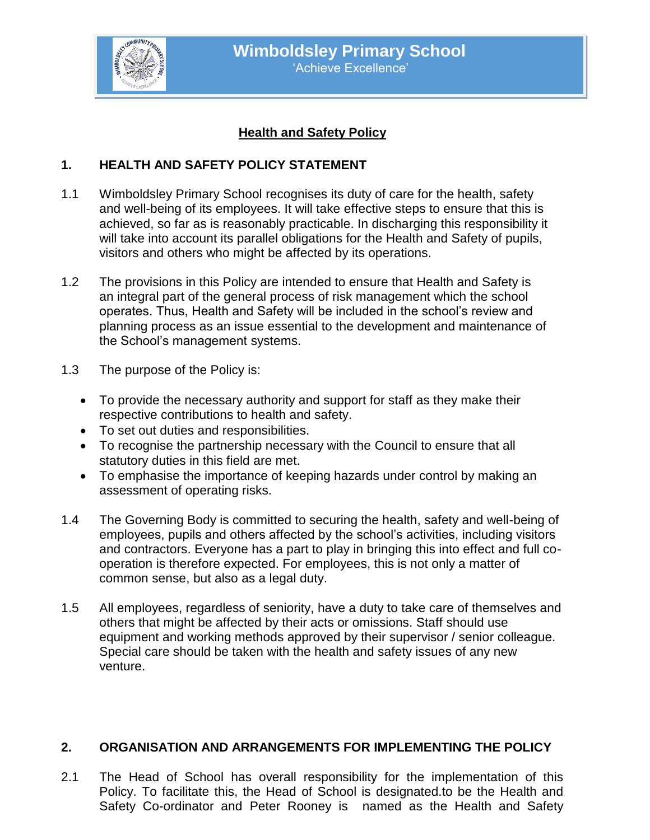

# **Health and Safety Policy**

### **1. HEALTH AND SAFETY POLICY STATEMENT**

- 1.1 Wimboldsley Primary School recognises its duty of care for the health, safety and well-being of its employees. It will take effective steps to ensure that this is achieved, so far as is reasonably practicable. In discharging this responsibility it will take into account its parallel obligations for the Health and Safety of pupils, visitors and others who might be affected by its operations.
- 1.2 The provisions in this Policy are intended to ensure that Health and Safety is an integral part of the general process of risk management which the school operates. Thus, Health and Safety will be included in the school's review and planning process as an issue essential to the development and maintenance of the School's management systems.
- 1.3 The purpose of the Policy is:
	- To provide the necessary authority and support for staff as they make their respective contributions to health and safety.
	- To set out duties and responsibilities.
	- To recognise the partnership necessary with the Council to ensure that all statutory duties in this field are met.
	- To emphasise the importance of keeping hazards under control by making an assessment of operating risks.
- 1.4 The Governing Body is committed to securing the health, safety and well-being of employees, pupils and others affected by the school's activities, including visitors and contractors. Everyone has a part to play in bringing this into effect and full cooperation is therefore expected. For employees, this is not only a matter of common sense, but also as a legal duty.
- 1.5 All employees, regardless of seniority, have a duty to take care of themselves and others that might be affected by their acts or omissions. Staff should use equipment and working methods approved by their supervisor / senior colleague. Special care should be taken with the health and safety issues of any new venture.

#### **2. ORGANISATION AND ARRANGEMENTS FOR IMPLEMENTING THE POLICY**

2.1 The Head of School has overall responsibility for the implementation of this Policy. To facilitate this, the Head of School is designated.to be the Health and Safety Co-ordinator and Peter Rooney is named as the Health and Safety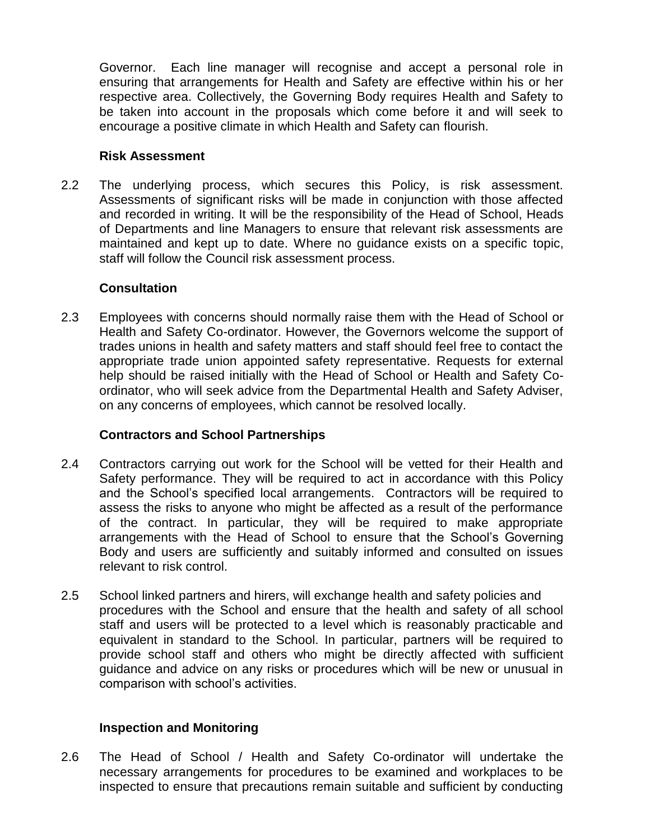Governor. Each line manager will recognise and accept a personal role in ensuring that arrangements for Health and Safety are effective within his or her respective area. Collectively, the Governing Body requires Health and Safety to be taken into account in the proposals which come before it and will seek to encourage a positive climate in which Health and Safety can flourish.

#### **Risk Assessment**

2.2 The underlying process, which secures this Policy, is risk assessment. Assessments of significant risks will be made in conjunction with those affected and recorded in writing. It will be the responsibility of the Head of School, Heads of Departments and line Managers to ensure that relevant risk assessments are maintained and kept up to date. Where no guidance exists on a specific topic, staff will follow the Council risk assessment process.

### **Consultation**

2.3 Employees with concerns should normally raise them with the Head of School or Health and Safety Co-ordinator. However, the Governors welcome the support of trades unions in health and safety matters and staff should feel free to contact the appropriate trade union appointed safety representative. Requests for external help should be raised initially with the Head of School or Health and Safety Coordinator, who will seek advice from the Departmental Health and Safety Adviser, on any concerns of employees, which cannot be resolved locally.

# **Contractors and School Partnerships**

- 2.4 Contractors carrying out work for the School will be vetted for their Health and Safety performance. They will be required to act in accordance with this Policy and the School's specified local arrangements. Contractors will be required to assess the risks to anyone who might be affected as a result of the performance of the contract. In particular, they will be required to make appropriate arrangements with the Head of School to ensure that the School's Governing Body and users are sufficiently and suitably informed and consulted on issues relevant to risk control.
- 2.5 School linked partners and hirers, will exchange health and safety policies and procedures with the School and ensure that the health and safety of all school staff and users will be protected to a level which is reasonably practicable and equivalent in standard to the School. In particular, partners will be required to provide school staff and others who might be directly affected with sufficient guidance and advice on any risks or procedures which will be new or unusual in comparison with school's activities.

# **Inspection and Monitoring**

2.6 The Head of School / Health and Safety Co-ordinator will undertake the necessary arrangements for procedures to be examined and workplaces to be inspected to ensure that precautions remain suitable and sufficient by conducting